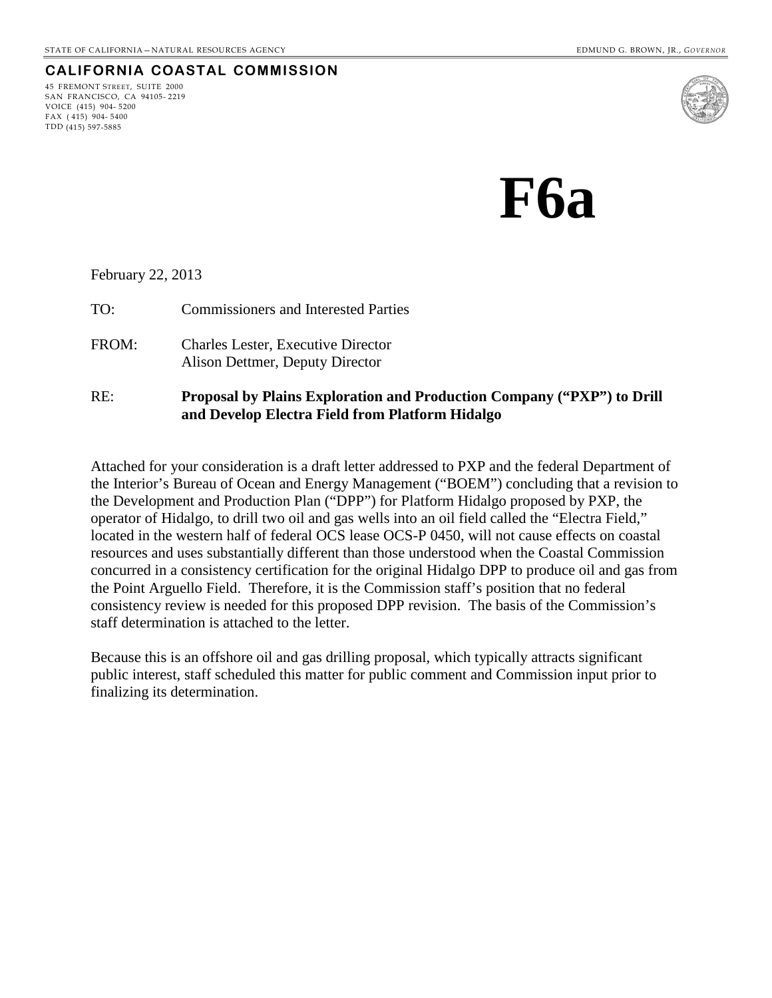### **CALIFORNIA COASTAL COMMISSION**

45 FREMONT STREET, SUITE 2000 SAN FRANCISCO, CA 94105- 2219 VOICE (415) 904- 5200 FAX ( 415) 904- 5400 TDD (415) 597-5885



**F6a**

#### February 22, 2013

TO: Commissioners and Interested Parties FROM: Charles Lester, Executive Director Alison Dettmer, Deputy Director RE: **Proposal by Plains Exploration and Production Company ("PXP") to Drill and Develop Electra Field from Platform Hidalgo**

Attached for your consideration is a draft letter addressed to PXP and the federal Department of the Interior's Bureau of Ocean and Energy Management ("BOEM") concluding that a revision to the Development and Production Plan ("DPP") for Platform Hidalgo proposed by PXP, the operator of Hidalgo, to drill two oil and gas wells into an oil field called the "Electra Field," located in the western half of federal OCS lease OCS-P 0450, will not cause effects on coastal resources and uses substantially different than those understood when the Coastal Commission concurred in a consistency certification for the original Hidalgo DPP to produce oil and gas from the Point Arguello Field. Therefore, it is the Commission staff's position that no federal consistency review is needed for this proposed DPP revision. The basis of the Commission's staff determination is attached to the letter.

Because this is an offshore oil and gas drilling proposal, which typically attracts significant public interest, staff scheduled this matter for public comment and Commission input prior to finalizing its determination.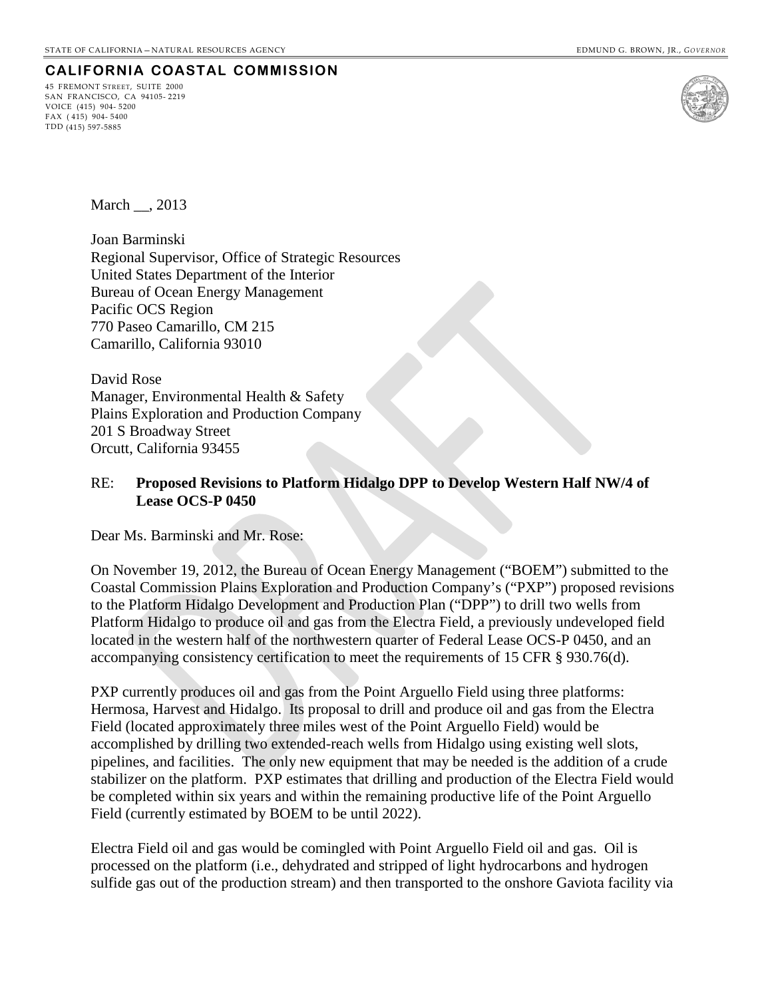### **CALIFORNIA COASTAL COMMISSION**

45 FREMONT STREET, SUITE 2000 SAN FRANCISCO, CA 94105- 2219 VOICE (415) 904- 5200 FAX ( 415) 904- 5400 TDD (415) 597-5885



March , 2013

Joan Barminski Regional Supervisor, Office of Strategic Resources United States Department of the Interior Bureau of Ocean Energy Management Pacific OCS Region 770 Paseo Camarillo, CM 215 Camarillo, California 93010

David Rose Manager, Environmental Health & Safety Plains Exploration and Production Company 201 S Broadway Street Orcutt, California 93455

### RE: **Proposed Revisions to Platform Hidalgo DPP to Develop Western Half NW/4 of Lease OCS-P 0450**

Dear Ms. Barminski and Mr. Rose:

On November 19, 2012, the Bureau of Ocean Energy Management ("BOEM") submitted to the Coastal Commission Plains Exploration and Production Company's ("PXP") proposed revisions to the Platform Hidalgo Development and Production Plan ("DPP") to drill two wells from Platform Hidalgo to produce oil and gas from the Electra Field, a previously undeveloped field located in the western half of the northwestern quarter of Federal Lease OCS-P 0450, and an accompanying consistency certification to meet the requirements of 15 CFR § 930.76(d).

PXP currently produces oil and gas from the Point Arguello Field using three platforms: Hermosa, Harvest and Hidalgo. Its proposal to drill and produce oil and gas from the Electra Field (located approximately three miles west of the Point Arguello Field) would be accomplished by drilling two extended-reach wells from Hidalgo using existing well slots, pipelines, and facilities. The only new equipment that may be needed is the addition of a crude stabilizer on the platform. PXP estimates that drilling and production of the Electra Field would be completed within six years and within the remaining productive life of the Point Arguello Field (currently estimated by BOEM to be until 2022).

Electra Field oil and gas would be comingled with Point Arguello Field oil and gas. Oil is processed on the platform (i.e., dehydrated and stripped of light hydrocarbons and hydrogen sulfide gas out of the production stream) and then transported to the onshore Gaviota facility via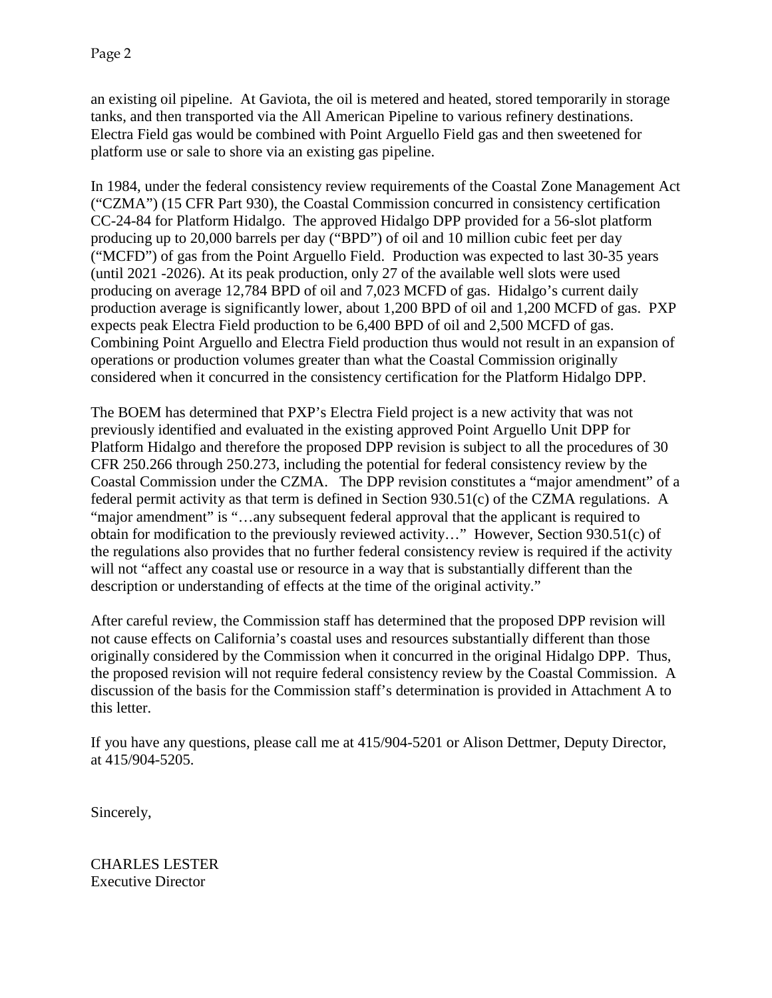an existing oil pipeline. At Gaviota, the oil is metered and heated, stored temporarily in storage tanks, and then transported via the All American Pipeline to various refinery destinations. Electra Field gas would be combined with Point Arguello Field gas and then sweetened for platform use or sale to shore via an existing gas pipeline.

In 1984, under the federal consistency review requirements of the Coastal Zone Management Act ("CZMA") (15 CFR Part 930), the Coastal Commission concurred in consistency certification CC-24-84 for Platform Hidalgo. The approved Hidalgo DPP provided for a 56-slot platform producing up to 20,000 barrels per day ("BPD") of oil and 10 million cubic feet per day ("MCFD") of gas from the Point Arguello Field. Production was expected to last 30-35 years (until 2021 -2026). At its peak production, only 27 of the available well slots were used producing on average 12,784 BPD of oil and 7,023 MCFD of gas. Hidalgo's current daily production average is significantly lower, about 1,200 BPD of oil and 1,200 MCFD of gas. PXP expects peak Electra Field production to be 6,400 BPD of oil and 2,500 MCFD of gas. Combining Point Arguello and Electra Field production thus would not result in an expansion of operations or production volumes greater than what the Coastal Commission originally considered when it concurred in the consistency certification for the Platform Hidalgo DPP.

The BOEM has determined that PXP's Electra Field project is a new activity that was not previously identified and evaluated in the existing approved Point Arguello Unit DPP for Platform Hidalgo and therefore the proposed DPP revision is subject to all the procedures of 30 CFR 250.266 through 250.273, including the potential for federal consistency review by the Coastal Commission under the CZMA. The DPP revision constitutes a "major amendment" of a federal permit activity as that term is defined in Section 930.51(c) of the CZMA regulations. A "major amendment" is "...any subsequent federal approval that the applicant is required to obtain for modification to the previously reviewed activity…" However, Section 930.51(c) of the regulations also provides that no further federal consistency review is required if the activity will not "affect any coastal use or resource in a way that is substantially different than the description or understanding of effects at the time of the original activity."

After careful review, the Commission staff has determined that the proposed DPP revision will not cause effects on California's coastal uses and resources substantially different than those originally considered by the Commission when it concurred in the original Hidalgo DPP. Thus, the proposed revision will not require federal consistency review by the Coastal Commission. A discussion of the basis for the Commission staff's determination is provided in Attachment A to this letter.

If you have any questions, please call me at 415/904-5201 or Alison Dettmer, Deputy Director, at 415/904-5205.

Sincerely,

CHARLES LESTER Executive Director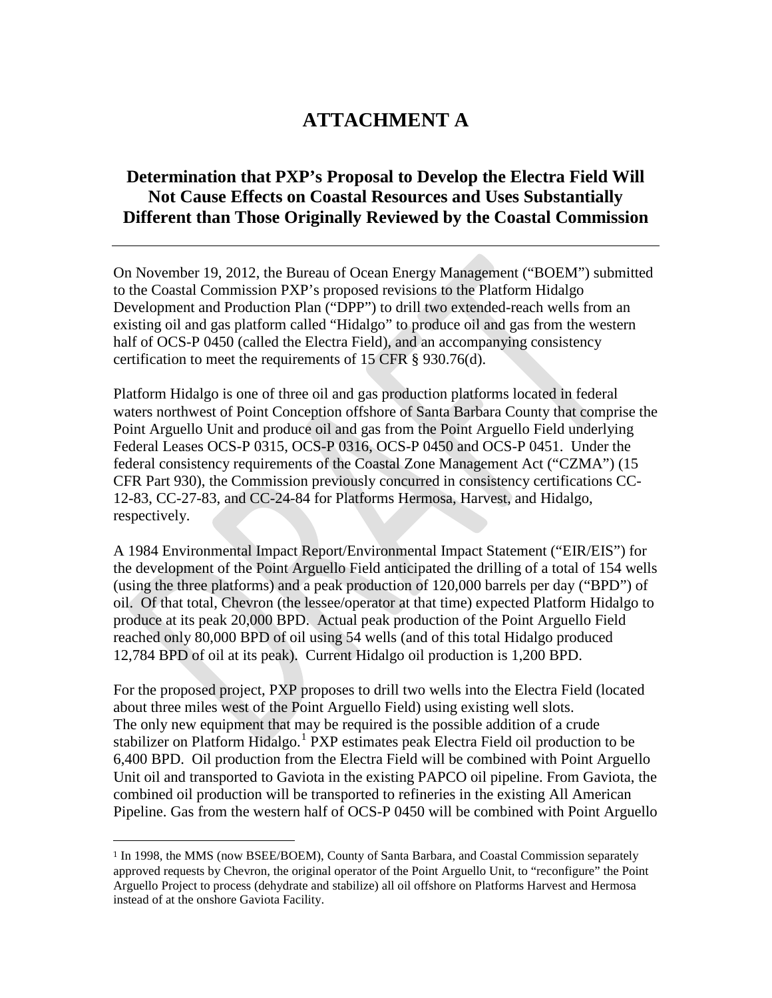# **ATTACHMENT A**

# **Determination that PXP's Proposal to Develop the Electra Field Will Not Cause Effects on Coastal Resources and Uses Substantially Different than Those Originally Reviewed by the Coastal Commission**

On November 19, 2012, the Bureau of Ocean Energy Management ("BOEM") submitted to the Coastal Commission PXP's proposed revisions to the Platform Hidalgo Development and Production Plan ("DPP") to drill two extended-reach wells from an existing oil and gas platform called "Hidalgo" to produce oil and gas from the western half of OCS-P 0450 (called the Electra Field), and an accompanying consistency certification to meet the requirements of 15 CFR § 930.76(d).

Platform Hidalgo is one of three oil and gas production platforms located in federal waters northwest of Point Conception offshore of Santa Barbara County that comprise the Point Arguello Unit and produce oil and gas from the Point Arguello Field underlying Federal Leases OCS-P 0315, OCS-P 0316, OCS-P 0450 and OCS-P 0451. Under the federal consistency requirements of the Coastal Zone Management Act ("CZMA") (15 CFR Part 930), the Commission previously concurred in consistency certifications CC-12-83, CC-27-83, and CC-24-84 for Platforms Hermosa, Harvest, and Hidalgo, respectively.

A 1984 Environmental Impact Report/Environmental Impact Statement ("EIR/EIS") for the development of the Point Arguello Field anticipated the drilling of a total of 154 wells (using the three platforms) and a peak production of 120,000 barrels per day ("BPD") of oil. Of that total, Chevron (the lessee/operator at that time) expected Platform Hidalgo to produce at its peak 20,000 BPD. Actual peak production of the Point Arguello Field reached only 80,000 BPD of oil using 54 wells (and of this total Hidalgo produced 12,784 BPD of oil at its peak). Current Hidalgo oil production is 1,200 BPD.

For the proposed project, PXP proposes to drill two wells into the Electra Field (located about three miles west of the Point Arguello Field) using existing well slots. The only new equipment that may be required is the possible addition of a crude stabilizer on Platform Hidalgo.<sup>[1](#page-3-0)</sup> PXP estimates peak Electra Field oil production to be 6,400 BPD. Oil production from the Electra Field will be combined with Point Arguello Unit oil and transported to Gaviota in the existing PAPCO oil pipeline. From Gaviota, the combined oil production will be transported to refineries in the existing All American Pipeline. Gas from the western half of OCS-P 0450 will be combined with Point Arguello

<span id="page-3-0"></span> <sup>1</sup> In 1998, the MMS (now BSEE/BOEM), County of Santa Barbara, and Coastal Commission separately approved requests by Chevron, the original operator of the Point Arguello Unit, to "reconfigure" the Point Arguello Project to process (dehydrate and stabilize) all oil offshore on Platforms Harvest and Hermosa instead of at the onshore Gaviota Facility.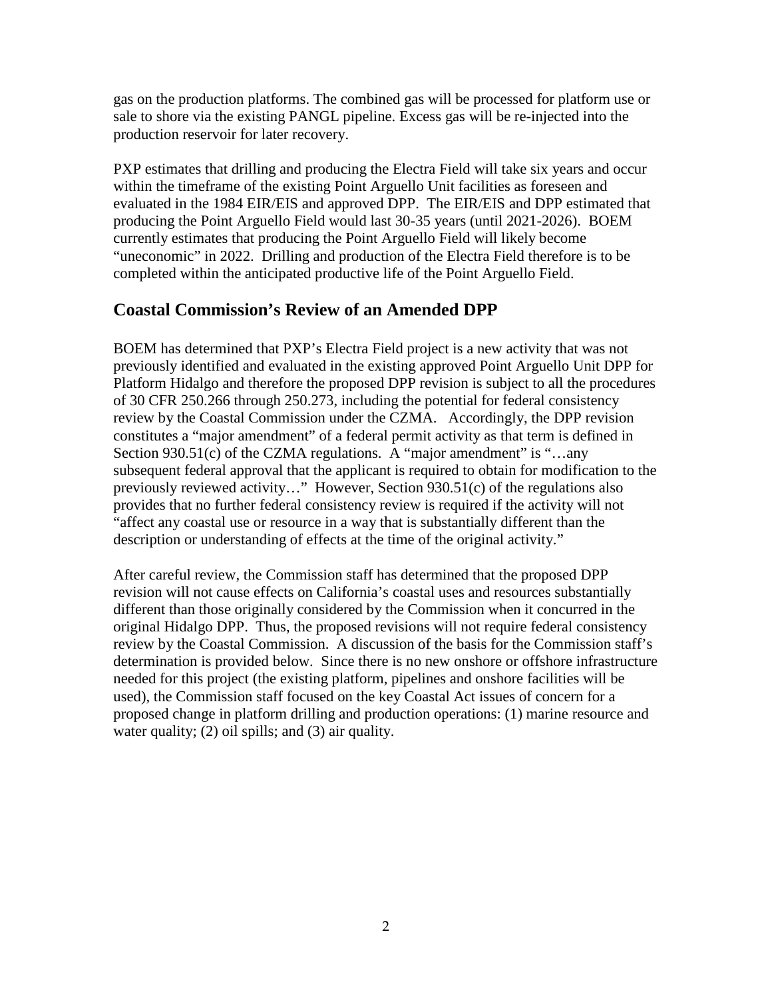gas on the production platforms. The combined gas will be processed for platform use or sale to shore via the existing PANGL pipeline. Excess gas will be re-injected into the production reservoir for later recovery.

PXP estimates that drilling and producing the Electra Field will take six years and occur within the timeframe of the existing Point Arguello Unit facilities as foreseen and evaluated in the 1984 EIR/EIS and approved DPP. The EIR/EIS and DPP estimated that producing the Point Arguello Field would last 30-35 years (until 2021-2026). BOEM currently estimates that producing the Point Arguello Field will likely become "uneconomic" in 2022. Drilling and production of the Electra Field therefore is to be completed within the anticipated productive life of the Point Arguello Field.

## **Coastal Commission's Review of an Amended DPP**

BOEM has determined that PXP's Electra Field project is a new activity that was not previously identified and evaluated in the existing approved Point Arguello Unit DPP for Platform Hidalgo and therefore the proposed DPP revision is subject to all the procedures of 30 CFR 250.266 through 250.273, including the potential for federal consistency review by the Coastal Commission under the CZMA. Accordingly, the DPP revision constitutes a "major amendment" of a federal permit activity as that term is defined in Section 930.51 $(c)$  of the CZMA regulations. A "major amendment" is "...any subsequent federal approval that the applicant is required to obtain for modification to the previously reviewed activity…" However, Section 930.51(c) of the regulations also provides that no further federal consistency review is required if the activity will not "affect any coastal use or resource in a way that is substantially different than the description or understanding of effects at the time of the original activity."

After careful review, the Commission staff has determined that the proposed DPP revision will not cause effects on California's coastal uses and resources substantially different than those originally considered by the Commission when it concurred in the original Hidalgo DPP. Thus, the proposed revisions will not require federal consistency review by the Coastal Commission. A discussion of the basis for the Commission staff's determination is provided below. Since there is no new onshore or offshore infrastructure needed for this project (the existing platform, pipelines and onshore facilities will be used), the Commission staff focused on the key Coastal Act issues of concern for a proposed change in platform drilling and production operations: (1) marine resource and water quality; (2) oil spills; and (3) air quality.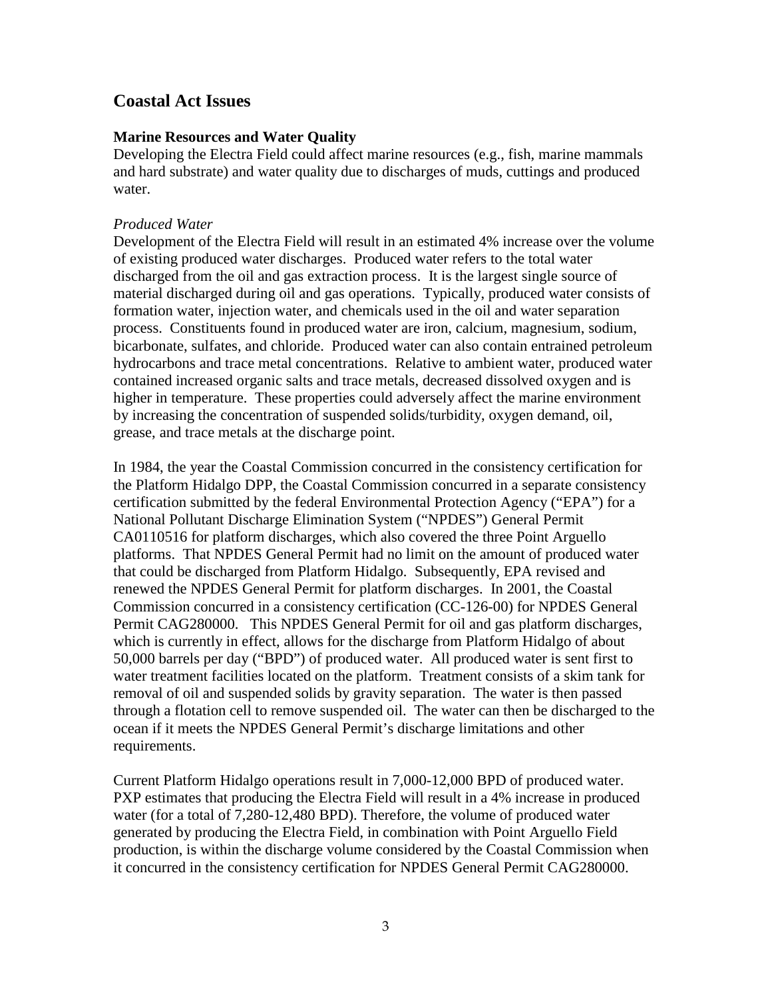### **Coastal Act Issues**

### **Marine Resources and Water Quality**

Developing the Electra Field could affect marine resources (e.g., fish, marine mammals and hard substrate) and water quality due to discharges of muds, cuttings and produced water.

#### *Produced Water*

Development of the Electra Field will result in an estimated 4% increase over the volume of existing produced water discharges. Produced water refers to the total water discharged from the oil and gas extraction process. It is the largest single source of material discharged during oil and gas operations. Typically, produced water consists of formation water, injection water, and chemicals used in the oil and water separation process. Constituents found in produced water are iron, calcium, magnesium, sodium, bicarbonate, sulfates, and chloride. Produced water can also contain entrained petroleum hydrocarbons and trace metal concentrations. Relative to ambient water, produced water contained increased organic salts and trace metals, decreased dissolved oxygen and is higher in temperature. These properties could adversely affect the marine environment by increasing the concentration of suspended solids/turbidity, oxygen demand, oil, grease, and trace metals at the discharge point.

In 1984, the year the Coastal Commission concurred in the consistency certification for the Platform Hidalgo DPP, the Coastal Commission concurred in a separate consistency certification submitted by the federal Environmental Protection Agency ("EPA") for a National Pollutant Discharge Elimination System ("NPDES") General Permit CA0110516 for platform discharges, which also covered the three Point Arguello platforms. That NPDES General Permit had no limit on the amount of produced water that could be discharged from Platform Hidalgo. Subsequently, EPA revised and renewed the NPDES General Permit for platform discharges. In 2001, the Coastal Commission concurred in a consistency certification (CC-126-00) for NPDES General Permit CAG280000. This NPDES General Permit for oil and gas platform discharges, which is currently in effect, allows for the discharge from Platform Hidalgo of about 50,000 barrels per day ("BPD") of produced water. All produced water is sent first to water treatment facilities located on the platform. Treatment consists of a skim tank for removal of oil and suspended solids by gravity separation. The water is then passed through a flotation cell to remove suspended oil. The water can then be discharged to the ocean if it meets the NPDES General Permit's discharge limitations and other requirements.

Current Platform Hidalgo operations result in 7,000-12,000 BPD of produced water. PXP estimates that producing the Electra Field will result in a 4% increase in produced water (for a total of 7,280-12,480 BPD). Therefore, the volume of produced water generated by producing the Electra Field, in combination with Point Arguello Field production, is within the discharge volume considered by the Coastal Commission when it concurred in the consistency certification for NPDES General Permit CAG280000.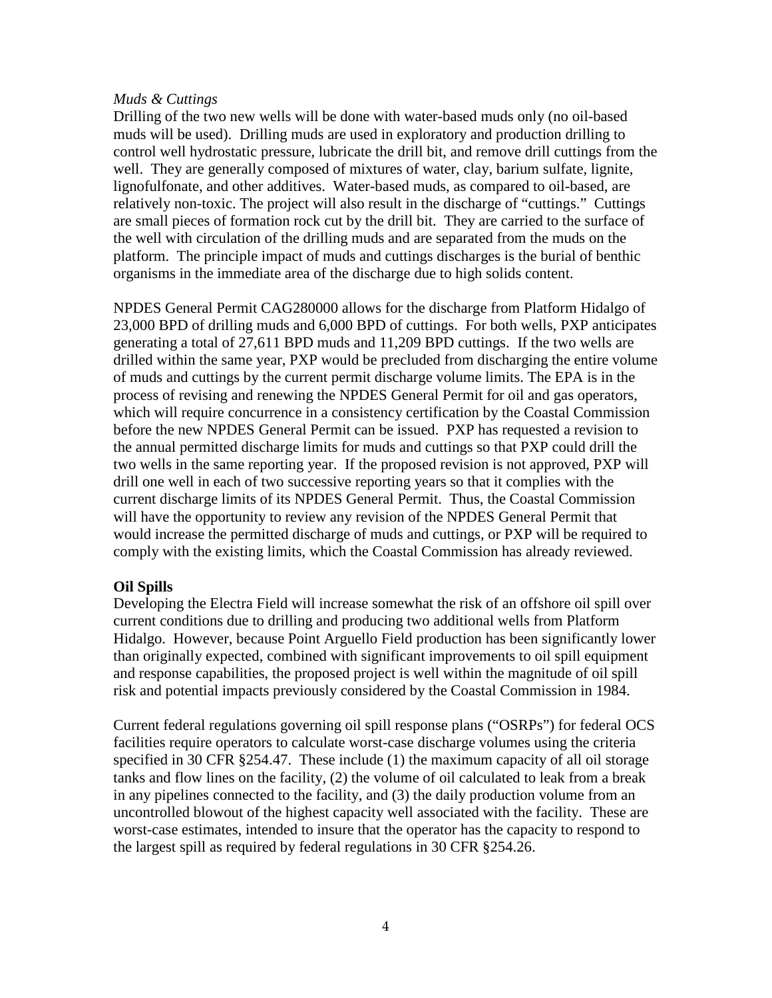#### *Muds & Cuttings*

Drilling of the two new wells will be done with water-based muds only (no oil-based muds will be used). Drilling muds are used in exploratory and production drilling to control well hydrostatic pressure, lubricate the drill bit, and remove drill cuttings from the well. They are generally composed of mixtures of water, clay, barium sulfate, lignite, lignofulfonate, and other additives. Water-based muds, as compared to oil-based, are relatively non-toxic. The project will also result in the discharge of "cuttings." Cuttings are small pieces of formation rock cut by the drill bit. They are carried to the surface of the well with circulation of the drilling muds and are separated from the muds on the platform. The principle impact of muds and cuttings discharges is the burial of benthic organisms in the immediate area of the discharge due to high solids content.

NPDES General Permit CAG280000 allows for the discharge from Platform Hidalgo of 23,000 BPD of drilling muds and 6,000 BPD of cuttings. For both wells, PXP anticipates generating a total of 27,611 BPD muds and 11,209 BPD cuttings. If the two wells are drilled within the same year, PXP would be precluded from discharging the entire volume of muds and cuttings by the current permit discharge volume limits. The EPA is in the process of revising and renewing the NPDES General Permit for oil and gas operators, which will require concurrence in a consistency certification by the Coastal Commission before the new NPDES General Permit can be issued. PXP has requested a revision to the annual permitted discharge limits for muds and cuttings so that PXP could drill the two wells in the same reporting year. If the proposed revision is not approved, PXP will drill one well in each of two successive reporting years so that it complies with the current discharge limits of its NPDES General Permit. Thus, the Coastal Commission will have the opportunity to review any revision of the NPDES General Permit that would increase the permitted discharge of muds and cuttings, or PXP will be required to comply with the existing limits, which the Coastal Commission has already reviewed.

### **Oil Spills**

Developing the Electra Field will increase somewhat the risk of an offshore oil spill over current conditions due to drilling and producing two additional wells from Platform Hidalgo. However, because Point Arguello Field production has been significantly lower than originally expected, combined with significant improvements to oil spill equipment and response capabilities, the proposed project is well within the magnitude of oil spill risk and potential impacts previously considered by the Coastal Commission in 1984.

Current federal regulations governing oil spill response plans ("OSRPs") for federal OCS facilities require operators to calculate worst-case discharge volumes using the criteria specified in 30 CFR §254.47. These include (1) the maximum capacity of all oil storage tanks and flow lines on the facility, (2) the volume of oil calculated to leak from a break in any pipelines connected to the facility, and (3) the daily production volume from an uncontrolled blowout of the highest capacity well associated with the facility. These are worst-case estimates, intended to insure that the operator has the capacity to respond to the largest spill as required by federal regulations in 30 CFR §254.26.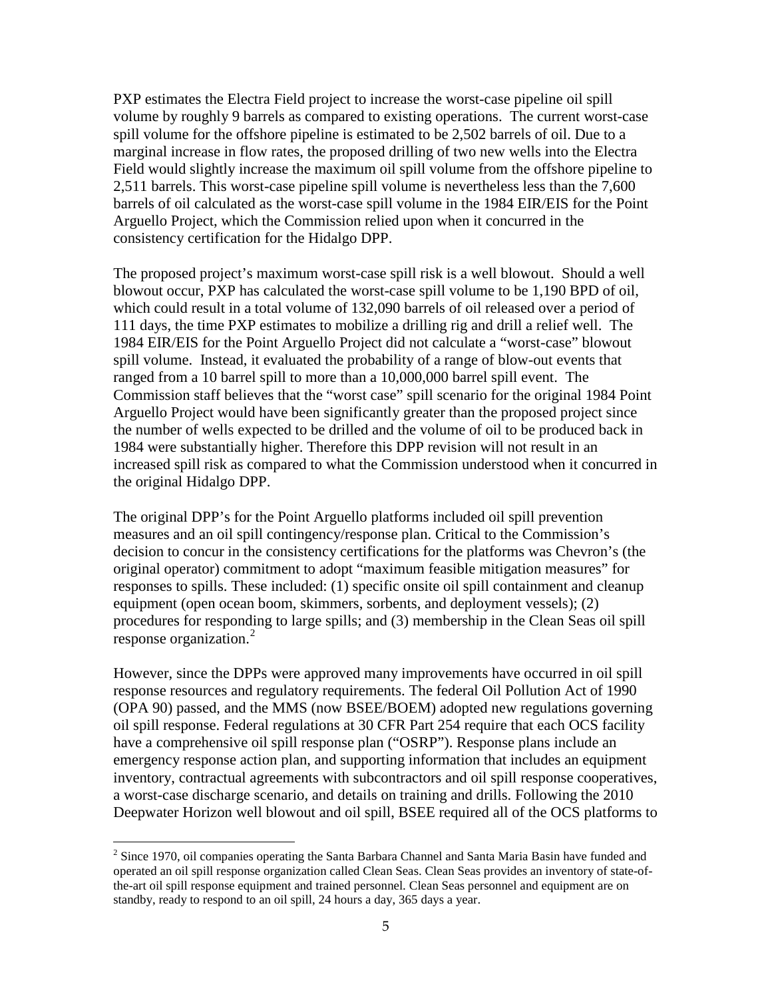PXP estimates the Electra Field project to increase the worst-case pipeline oil spill volume by roughly 9 barrels as compared to existing operations. The current worst-case spill volume for the offshore pipeline is estimated to be 2,502 barrels of oil. Due to a marginal increase in flow rates, the proposed drilling of two new wells into the Electra Field would slightly increase the maximum oil spill volume from the offshore pipeline to 2,511 barrels. This worst-case pipeline spill volume is nevertheless less than the 7,600 barrels of oil calculated as the worst-case spill volume in the 1984 EIR/EIS for the Point Arguello Project, which the Commission relied upon when it concurred in the consistency certification for the Hidalgo DPP.

The proposed project's maximum worst-case spill risk is a well blowout. Should a well blowout occur, PXP has calculated the worst-case spill volume to be 1,190 BPD of oil, which could result in a total volume of 132,090 barrels of oil released over a period of 111 days, the time PXP estimates to mobilize a drilling rig and drill a relief well. The 1984 EIR/EIS for the Point Arguello Project did not calculate a "worst-case" blowout spill volume. Instead, it evaluated the probability of a range of blow-out events that ranged from a 10 barrel spill to more than a 10,000,000 barrel spill event. The Commission staff believes that the "worst case" spill scenario for the original 1984 Point Arguello Project would have been significantly greater than the proposed project since the number of wells expected to be drilled and the volume of oil to be produced back in 1984 were substantially higher. Therefore this DPP revision will not result in an increased spill risk as compared to what the Commission understood when it concurred in the original Hidalgo DPP.

The original DPP's for the Point Arguello platforms included oil spill prevention measures and an oil spill contingency/response plan. Critical to the Commission's decision to concur in the consistency certifications for the platforms was Chevron's (the original operator) commitment to adopt "maximum feasible mitigation measures" for responses to spills. These included: (1) specific onsite oil spill containment and cleanup equipment (open ocean boom, skimmers, sorbents, and deployment vessels); (2) procedures for responding to large spills; and (3) membership in the Clean Seas oil spill response organization.<sup>[2](#page-7-0)</sup>

However, since the DPPs were approved many improvements have occurred in oil spill response resources and regulatory requirements. The federal Oil Pollution Act of 1990 (OPA 90) passed, and the MMS (now BSEE/BOEM) adopted new regulations governing oil spill response. Federal regulations at 30 CFR Part 254 require that each OCS facility have a comprehensive oil spill response plan ("OSRP"). Response plans include an emergency response action plan, and supporting information that includes an equipment inventory, contractual agreements with subcontractors and oil spill response cooperatives, a worst-case discharge scenario, and details on training and drills. Following the 2010 Deepwater Horizon well blowout and oil spill, BSEE required all of the OCS platforms to

 $\overline{a}$ 

<span id="page-7-0"></span><sup>&</sup>lt;sup>2</sup> Since 1970, oil companies operating the Santa Barbara Channel and Santa Maria Basin have funded and operated an oil spill response organization called Clean Seas. Clean Seas provides an inventory of state-ofthe-art oil spill response equipment and trained personnel. Clean Seas personnel and equipment are on standby, ready to respond to an oil spill, 24 hours a day, 365 days a year.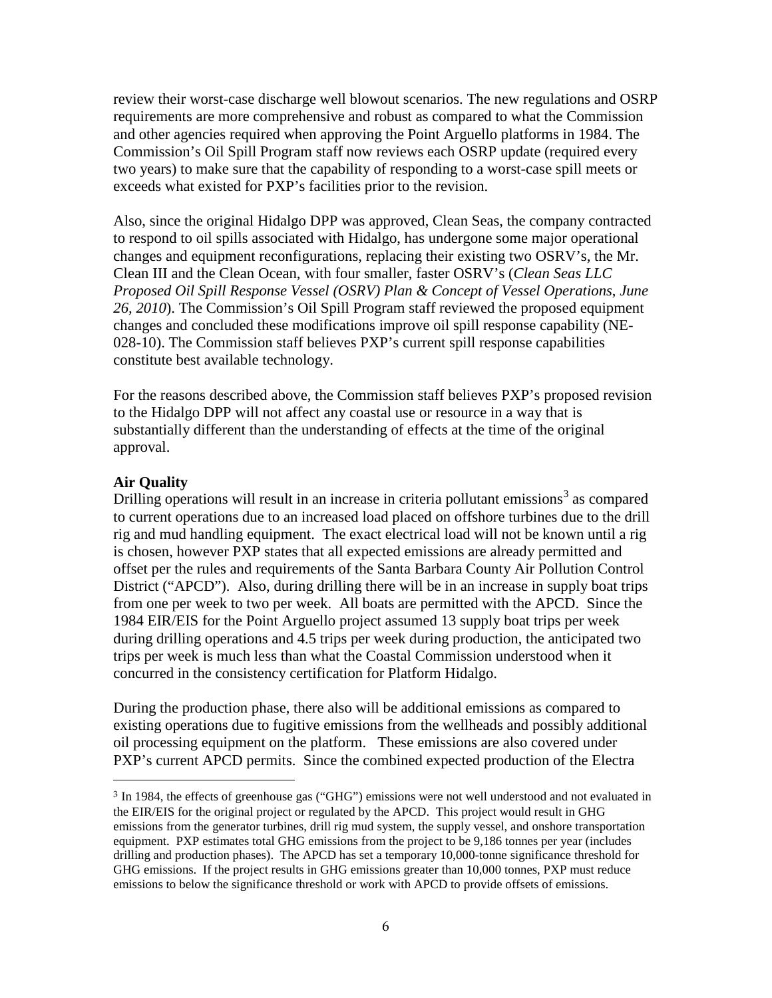review their worst-case discharge well blowout scenarios. The new regulations and OSRP requirements are more comprehensive and robust as compared to what the Commission and other agencies required when approving the Point Arguello platforms in 1984. The Commission's Oil Spill Program staff now reviews each OSRP update (required every two years) to make sure that the capability of responding to a worst-case spill meets or exceeds what existed for PXP's facilities prior to the revision.

Also, since the original Hidalgo DPP was approved, Clean Seas, the company contracted to respond to oil spills associated with Hidalgo, has undergone some major operational changes and equipment reconfigurations, replacing their existing two OSRV's, the Mr. Clean III and the Clean Ocean, with four smaller, faster OSRV's (*Clean Seas LLC Proposed Oil Spill Response Vessel (OSRV) Plan & Concept of Vessel Operations*, *June 26, 2010*). The Commission's Oil Spill Program staff reviewed the proposed equipment changes and concluded these modifications improve oil spill response capability (NE-028-10). The Commission staff believes PXP's current spill response capabilities constitute best available technology.

For the reasons described above, the Commission staff believes PXP's proposed revision to the Hidalgo DPP will not affect any coastal use or resource in a way that is substantially different than the understanding of effects at the time of the original approval.

### **Air Quality**

 $\overline{a}$ 

Drilling operations will result in an increase in criteria pollutant emissions<sup>[3](#page-8-0)</sup> as compared to current operations due to an increased load placed on offshore turbines due to the drill rig and mud handling equipment. The exact electrical load will not be known until a rig is chosen, however PXP states that all expected emissions are already permitted and offset per the rules and requirements of the Santa Barbara County Air Pollution Control District ("APCD"). Also, during drilling there will be in an increase in supply boat trips from one per week to two per week. All boats are permitted with the APCD. Since the 1984 EIR/EIS for the Point Arguello project assumed 13 supply boat trips per week during drilling operations and 4.5 trips per week during production, the anticipated two trips per week is much less than what the Coastal Commission understood when it concurred in the consistency certification for Platform Hidalgo.

During the production phase, there also will be additional emissions as compared to existing operations due to fugitive emissions from the wellheads and possibly additional oil processing equipment on the platform. These emissions are also covered under PXP's current APCD permits. Since the combined expected production of the Electra

<span id="page-8-0"></span><sup>3</sup> In 1984, the effects of greenhouse gas ("GHG") emissions were not well understood and not evaluated in the EIR/EIS for the original project or regulated by the APCD. This project would result in GHG emissions from the generator turbines, drill rig mud system, the supply vessel, and onshore transportation equipment. PXP estimates total GHG emissions from the project to be 9,186 tonnes per year (includes drilling and production phases). The APCD has set a temporary 10,000-tonne significance threshold for GHG emissions. If the project results in GHG emissions greater than 10,000 tonnes, PXP must reduce emissions to below the significance threshold or work with APCD to provide offsets of emissions.